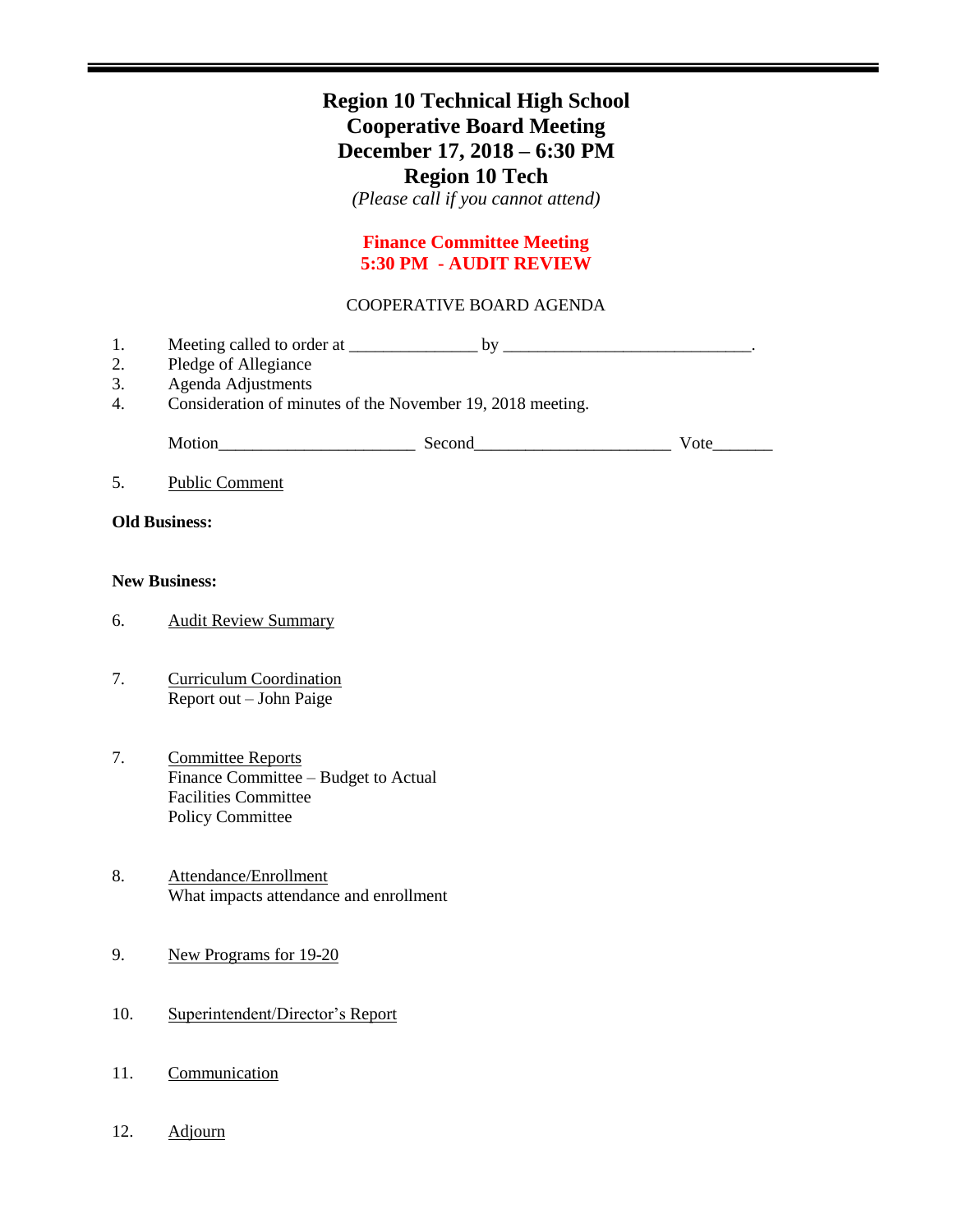## **Region 10 Technical High School Cooperative Board Meeting December 17, 2018 – 6:30 PM Region 10 Tech**

*(Please call if you cannot attend)*

## **Finance Committee Meeting 5:30 PM - AUDIT REVIEW**

### COOPERATIVE BOARD AGENDA

| 1.<br>2.<br>3.<br>4. | Pledge of Allegiance<br>Agenda Adjustments<br>Consideration of minutes of the November 19, 2018 meeting. |  |      |
|----------------------|----------------------------------------------------------------------------------------------------------|--|------|
|                      |                                                                                                          |  | Vote |
| 5.                   | <b>Public Comment</b>                                                                                    |  |      |
| <b>Old Business:</b> |                                                                                                          |  |      |
| <b>New Business:</b> |                                                                                                          |  |      |
| 6.                   | <b>Audit Review Summary</b>                                                                              |  |      |
|                      |                                                                                                          |  |      |

- 7. Curriculum Coordination Report out – John Paige
- 7. Committee Reports Finance Committee – Budget to Actual Facilities Committee Policy Committee
- 8. Attendance/Enrollment What impacts attendance and enrollment
- 9. New Programs for 19-20
- 10. Superintendent/Director's Report
- 11. Communication
- 12. Adjourn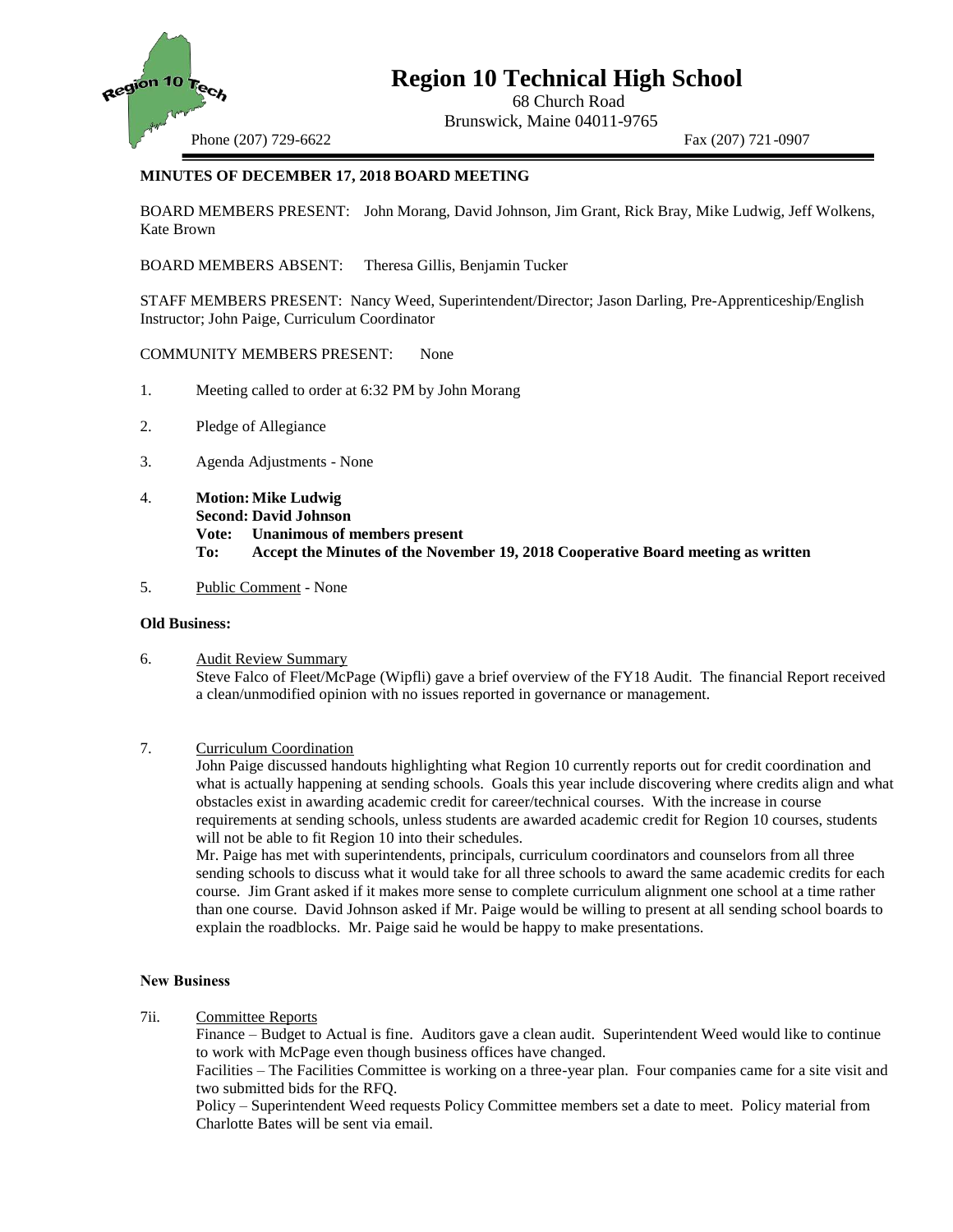

# **Region 10 Technical High School**

68 Church Road Brunswick, Maine 04011-9765

Phone (207) 729-6622 Fax (207) 721-0907

### **MINUTES OF DECEMBER 17, 2018 BOARD MEETING**

BOARD MEMBERS PRESENT: John Morang, David Johnson, Jim Grant, Rick Bray, Mike Ludwig, Jeff Wolkens, Kate Brown

BOARD MEMBERS ABSENT: Theresa Gillis, Benjamin Tucker

STAFF MEMBERS PRESENT: Nancy Weed, Superintendent/Director; Jason Darling, Pre-Apprenticeship/English Instructor; John Paige, Curriculum Coordinator

COMMUNITY MEMBERS PRESENT: None

- 1. Meeting called to order at 6:32 PM by John Morang
- 2. Pledge of Allegiance
- 3. Agenda Adjustments None
- 4. **Motion:Mike Ludwig Second: David Johnson Vote: Unanimous of members present To: Accept the Minutes of the November 19, 2018 Cooperative Board meeting as written**
- 5. Public Comment None

### **Old Business:**

- 6. Audit Review Summary Steve Falco of Fleet/McPage (Wipfli) gave a brief overview of the FY18 Audit. The financial Report received a clean/unmodified opinion with no issues reported in governance or management.
- 7. Curriculum Coordination

John Paige discussed handouts highlighting what Region 10 currently reports out for credit coordination and what is actually happening at sending schools. Goals this year include discovering where credits align and what obstacles exist in awarding academic credit for career/technical courses. With the increase in course requirements at sending schools, unless students are awarded academic credit for Region 10 courses, students will not be able to fit Region 10 into their schedules.

Mr. Paige has met with superintendents, principals, curriculum coordinators and counselors from all three sending schools to discuss what it would take for all three schools to award the same academic credits for each course. Jim Grant asked if it makes more sense to complete curriculum alignment one school at a time rather than one course. David Johnson asked if Mr. Paige would be willing to present at all sending school boards to explain the roadblocks. Mr. Paige said he would be happy to make presentations.

#### **New Business**

7ii. Committee Reports

Finance – Budget to Actual is fine. Auditors gave a clean audit. Superintendent Weed would like to continue to work with McPage even though business offices have changed.

Facilities – The Facilities Committee is working on a three-year plan. Four companies came for a site visit and two submitted bids for the RFQ.

Policy – Superintendent Weed requests Policy Committee members set a date to meet. Policy material from Charlotte Bates will be sent via email.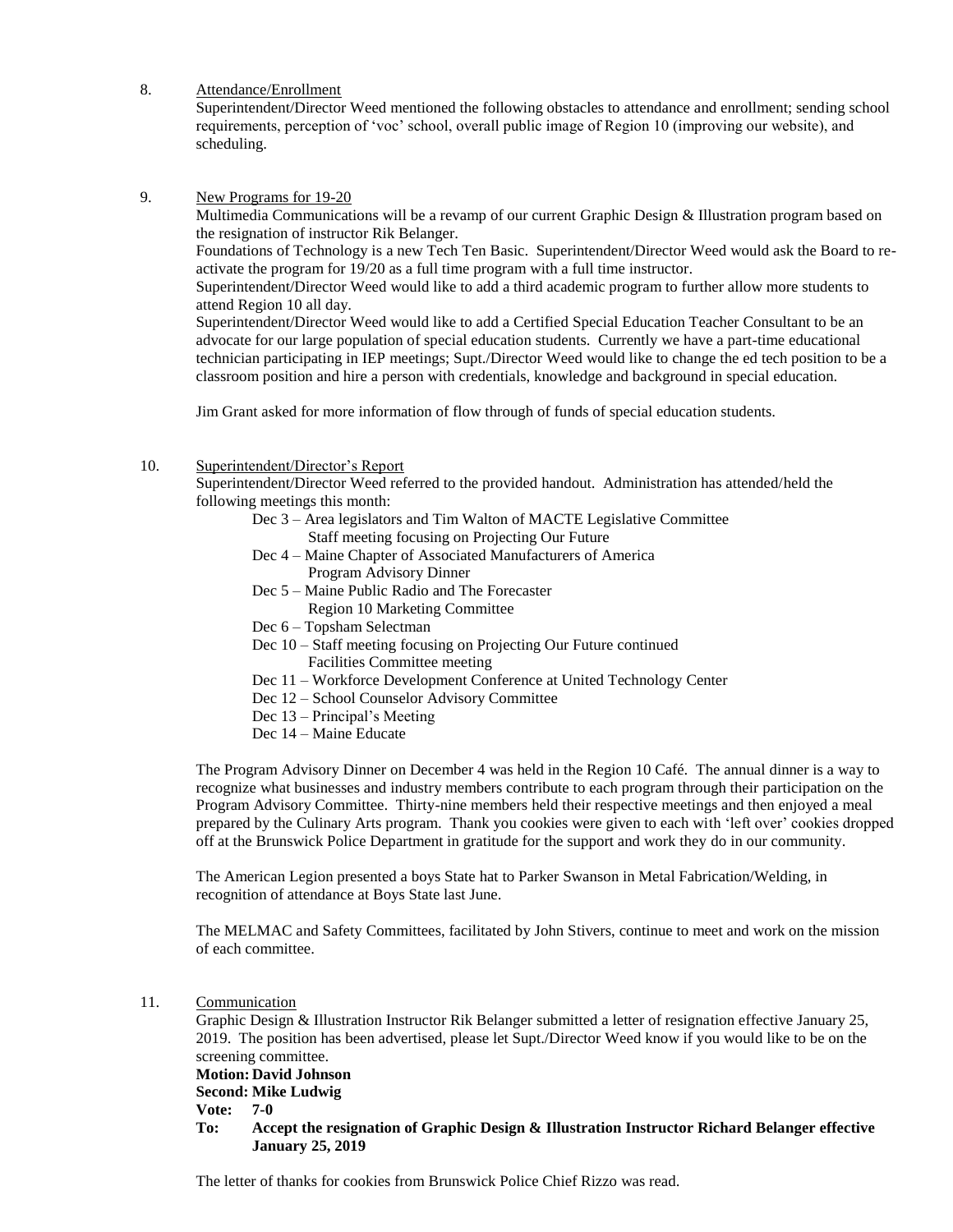8. Attendance/Enrollment

Superintendent/Director Weed mentioned the following obstacles to attendance and enrollment; sending school requirements, perception of 'voc' school, overall public image of Region 10 (improving our website), and scheduling.

9. New Programs for 19-20

Multimedia Communications will be a revamp of our current Graphic Design & Illustration program based on the resignation of instructor Rik Belanger.

Foundations of Technology is a new Tech Ten Basic. Superintendent/Director Weed would ask the Board to reactivate the program for 19/20 as a full time program with a full time instructor.

Superintendent/Director Weed would like to add a third academic program to further allow more students to attend Region 10 all day.

Superintendent/Director Weed would like to add a Certified Special Education Teacher Consultant to be an advocate for our large population of special education students. Currently we have a part-time educational technician participating in IEP meetings; Supt./Director Weed would like to change the ed tech position to be a classroom position and hire a person with credentials, knowledge and background in special education.

Jim Grant asked for more information of flow through of funds of special education students.

10. Superintendent/Director's Report

Superintendent/Director Weed referred to the provided handout. Administration has attended/held the following meetings this month:

- Dec 3 Area legislators and Tim Walton of MACTE Legislative Committee Staff meeting focusing on Projecting Our Future
- Dec 4 Maine Chapter of Associated Manufacturers of America Program Advisory Dinner
- Dec 5 Maine Public Radio and The Forecaster
	- Region 10 Marketing Committee
- Dec 6 Topsham Selectman
- Dec 10 Staff meeting focusing on Projecting Our Future continued Facilities Committee meeting
- Dec 11 Workforce Development Conference at United Technology Center
- Dec 12 School Counselor Advisory Committee
- Dec 13 Principal's Meeting
- Dec 14 Maine Educate

The Program Advisory Dinner on December 4 was held in the Region 10 Café. The annual dinner is a way to recognize what businesses and industry members contribute to each program through their participation on the Program Advisory Committee. Thirty-nine members held their respective meetings and then enjoyed a meal prepared by the Culinary Arts program. Thank you cookies were given to each with 'left over' cookies dropped off at the Brunswick Police Department in gratitude for the support and work they do in our community.

The American Legion presented a boys State hat to Parker Swanson in Metal Fabrication/Welding, in recognition of attendance at Boys State last June.

The MELMAC and Safety Committees, facilitated by John Stivers, continue to meet and work on the mission of each committee.

11. Communication

Graphic Design & Illustration Instructor Rik Belanger submitted a letter of resignation effective January 25, 2019. The position has been advertised, please let Supt./Director Weed know if you would like to be on the screening committee.

**Motion: David Johnson**

**Second: Mike Ludwig**

**Vote: 7-0**

**To: Accept the resignation of Graphic Design & Illustration Instructor Richard Belanger effective January 25, 2019**

The letter of thanks for cookies from Brunswick Police Chief Rizzo was read.